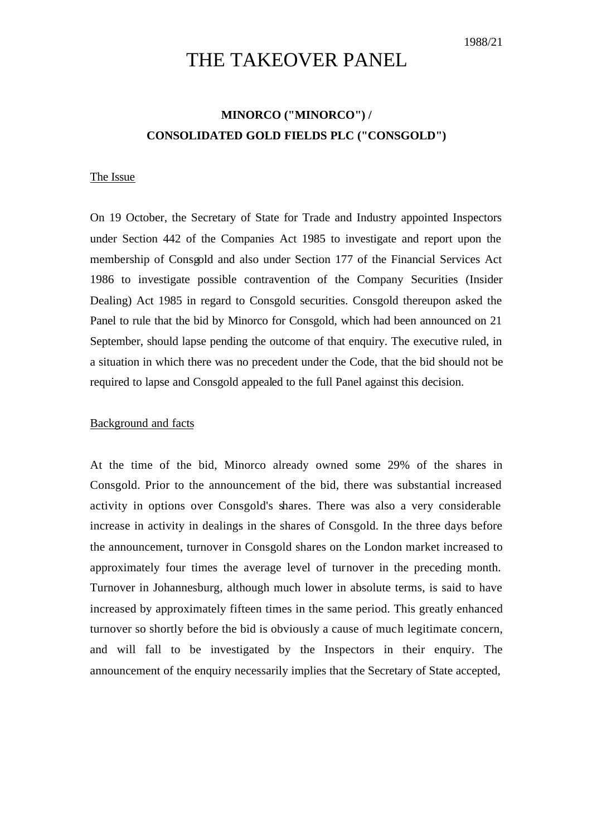# THE TAKEOVER PANEL

# **MINORCO ("MINORCO") / CONSOLIDATED GOLD FIELDS PLC ("CONSGOLD")**

#### The Issue

On 19 October, the Secretary of State for Trade and Industry appointed Inspectors under Section 442 of the Companies Act 1985 to investigate and report upon the membership of Consgold and also under Section 177 of the Financial Services Act 1986 to investigate possible contravention of the Company Securities (Insider Dealing) Act 1985 in regard to Consgold securities. Consgold thereupon asked the Panel to rule that the bid by Minorco for Consgold, which had been announced on 21 September, should lapse pending the outcome of that enquiry. The executive ruled, in a situation in which there was no precedent under the Code, that the bid should not be required to lapse and Consgold appealed to the full Panel against this decision.

### Background and facts

At the time of the bid, Minorco already owned some 29% of the shares in Consgold. Prior to the announcement of the bid, there was substantial increased activity in options over Consgold's shares. There was also a very considerable increase in activity in dealings in the shares of Consgold. In the three days before the announcement, turnover in Consgold shares on the London market increased to approximately four times the average level of turnover in the preceding month. Turnover in Johannesburg, although much lower in absolute terms, is said to have increased by approximately fifteen times in the same period. This greatly enhanced turnover so shortly before the bid is obviously a cause of much legitimate concern, and will fall to be investigated by the Inspectors in their enquiry. The announcement of the enquiry necessarily implies that the Secretary of State accepted,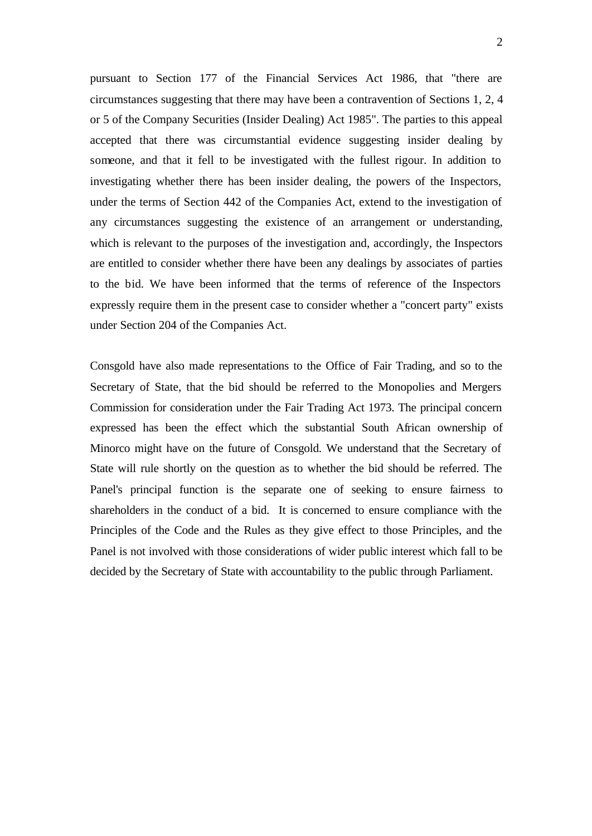pursuant to Section 177 of the Financial Services Act 1986, that "there are circumstances suggesting that there may have been a contravention of Sections 1, 2, 4 or 5 of the Company Securities (Insider Dealing) Act 1985". The parties to this appeal accepted that there was circumstantial evidence suggesting insider dealing by someone, and that it fell to be investigated with the fullest rigour. In addition to investigating whether there has been insider dealing, the powers of the Inspectors, under the terms of Section 442 of the Companies Act, extend to the investigation of any circumstances suggesting the existence of an arrangement or understanding, which is relevant to the purposes of the investigation and, accordingly, the Inspectors are entitled to consider whether there have been any dealings by associates of parties to the bid. We have been informed that the terms of reference of the Inspectors expressly require them in the present case to consider whether a "concert party" exists under Section 204 of the Companies Act.

Consgold have also made representations to the Office of Fair Trading, and so to the Secretary of State, that the bid should be referred to the Monopolies and Mergers Commission for consideration under the Fair Trading Act 1973. The principal concern expressed has been the effect which the substantial South African ownership of Minorco might have on the future of Consgold. We understand that the Secretary of State will rule shortly on the question as to whether the bid should be referred. The Panel's principal function is the separate one of seeking to ensure fairness to shareholders in the conduct of a bid. It is concerned to ensure compliance with the Principles of the Code and the Rules as they give effect to those Principles, and the Panel is not involved with those considerations of wider public interest which fall to be decided by the Secretary of State with accountability to the public through Parliament.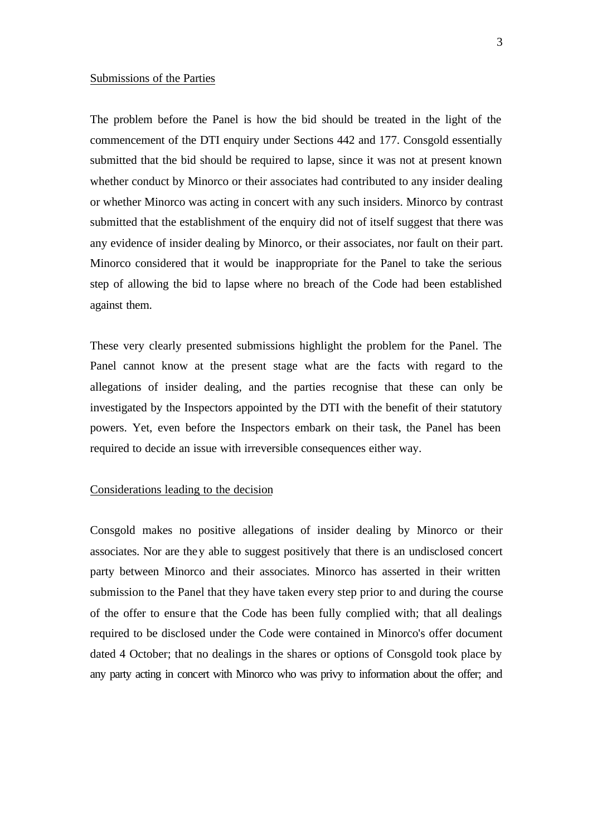#### Submissions of the Parties

The problem before the Panel is how the bid should be treated in the light of the commencement of the DTI enquiry under Sections 442 and 177. Consgold essentially submitted that the bid should be required to lapse, since it was not at present known whether conduct by Minorco or their associates had contributed to any insider dealing or whether Minorco was acting in concert with any such insiders. Minorco by contrast submitted that the establishment of the enquiry did not of itself suggest that there was any evidence of insider dealing by Minorco, or their associates, nor fault on their part. Minorco considered that it would be inappropriate for the Panel to take the serious step of allowing the bid to lapse where no breach of the Code had been established against them.

These very clearly presented submissions highlight the problem for the Panel. The Panel cannot know at the present stage what are the facts with regard to the allegations of insider dealing, and the parties recognise that these can only be investigated by the Inspectors appointed by the DTI with the benefit of their statutory powers. Yet, even before the Inspectors embark on their task, the Panel has been required to decide an issue with irreversible consequences either way.

## Considerations leading to the decision

Consgold makes no positive allegations of insider dealing by Minorco or their associates. Nor are they able to suggest positively that there is an undisclosed concert party between Minorco and their associates. Minorco has asserted in their written submission to the Panel that they have taken every step prior to and during the course of the offer to ensure that the Code has been fully complied with; that all dealings required to be disclosed under the Code were contained in Minorco's offer document dated 4 October; that no dealings in the shares or options of Consgold took place by any party acting in concert with Minorco who was privy to information about the offer; and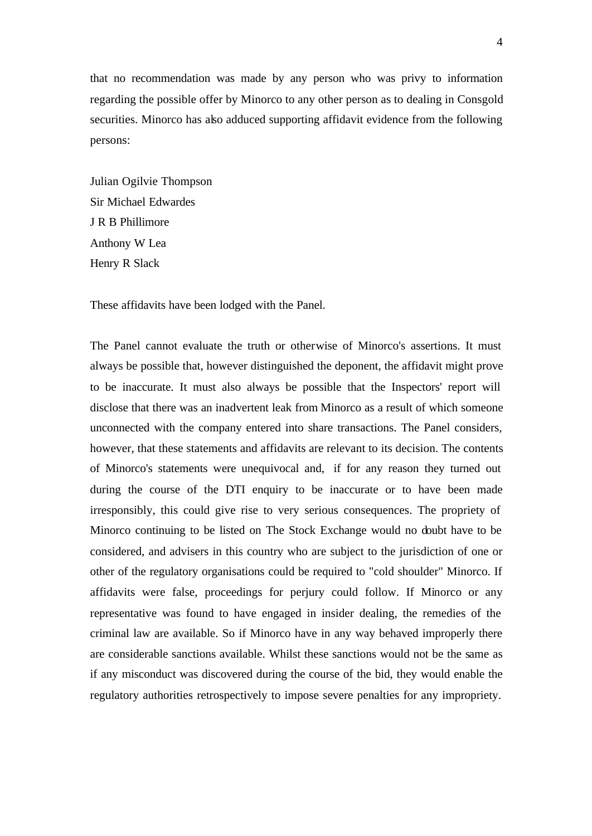that no recommendation was made by any person who was privy to information regarding the possible offer by Minorco to any other person as to dealing in Consgold securities. Minorco has also adduced supporting affidavit evidence from the following persons:

Julian Ogilvie Thompson Sir Michael Edwardes J R B Phillimore Anthony W Lea Henry R Slack

These affidavits have been lodged with the Panel.

The Panel cannot evaluate the truth or otherwise of Minorco's assertions. It must always be possible that, however distinguished the deponent, the affidavit might prove to be inaccurate. It must also always be possible that the Inspectors' report will disclose that there was an inadvertent leak from Minorco as a result of which someone unconnected with the company entered into share transactions. The Panel considers, however, that these statements and affidavits are relevant to its decision. The contents of Minorco's statements were unequivocal and, if for any reason they turned out during the course of the DTI enquiry to be inaccurate or to have been made irresponsibly, this could give rise to very serious consequences. The propriety of Minorco continuing to be listed on The Stock Exchange would no doubt have to be considered, and advisers in this country who are subject to the jurisdiction of one or other of the regulatory organisations could be required to "cold shoulder" Minorco. If affidavits were false, proceedings for perjury could follow. If Minorco or any representative was found to have engaged in insider dealing, the remedies of the criminal law are available. So if Minorco have in any way behaved improperly there are considerable sanctions available. Whilst these sanctions would not be the same as if any misconduct was discovered during the course of the bid, they would enable the regulatory authorities retrospectively to impose severe penalties for any impropriety.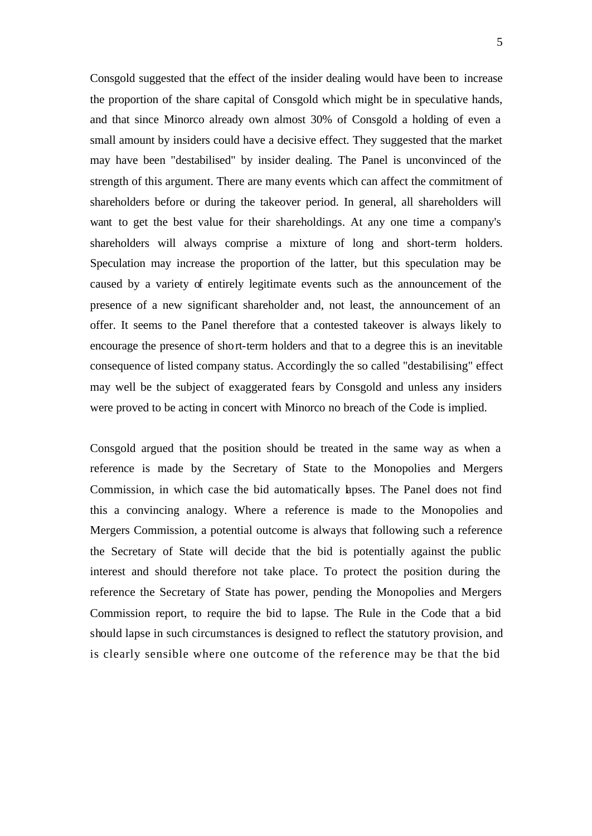Consgold suggested that the effect of the insider dealing would have been to increase the proportion of the share capital of Consgold which might be in speculative hands, and that since Minorco already own almost 30% of Consgold a holding of even a small amount by insiders could have a decisive effect. They suggested that the market may have been "destabilised" by insider dealing. The Panel is unconvinced of the strength of this argument. There are many events which can affect the commitment of shareholders before or during the takeover period. In general, all shareholders will want to get the best value for their shareholdings. At any one time a company's shareholders will always comprise a mixture of long and short-term holders. Speculation may increase the proportion of the latter, but this speculation may be caused by a variety of entirely legitimate events such as the announcement of the presence of a new significant shareholder and, not least, the announcement of an offer. It seems to the Panel therefore that a contested takeover is always likely to encourage the presence of short-term holders and that to a degree this is an inevitable consequence of listed company status. Accordingly the so called "destabilising" effect may well be the subject of exaggerated fears by Consgold and unless any insiders were proved to be acting in concert with Minorco no breach of the Code is implied.

Consgold argued that the position should be treated in the same way as when a reference is made by the Secretary of State to the Monopolies and Mergers Commission, in which case the bid automatically lapses. The Panel does not find this a convincing analogy. Where a reference is made to the Monopolies and Mergers Commission, a potential outcome is always that following such a reference the Secretary of State will decide that the bid is potentially against the public interest and should therefore not take place. To protect the position during the reference the Secretary of State has power, pending the Monopolies and Mergers Commission report, to require the bid to lapse. The Rule in the Code that a bid should lapse in such circumstances is designed to reflect the statutory provision, and is clearly sensible where one outcome of the reference may be that the bid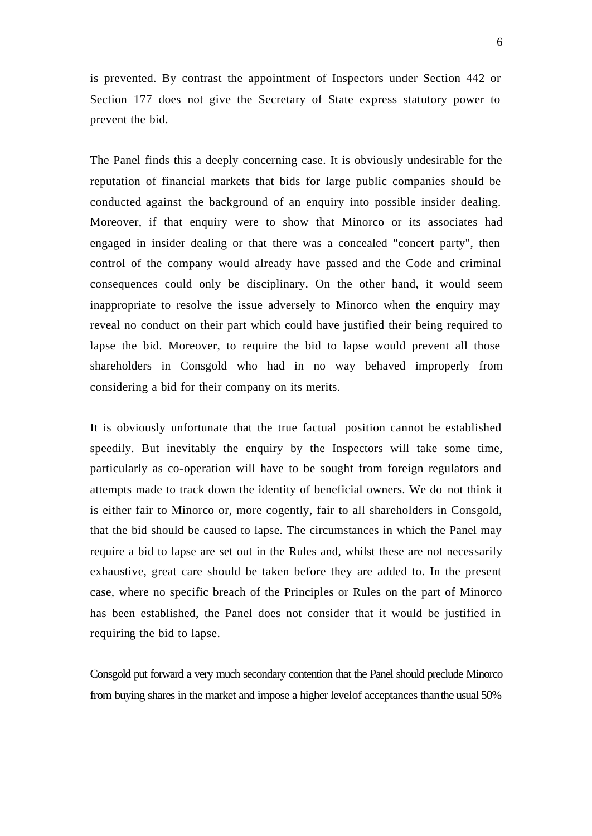is prevented. By contrast the appointment of Inspectors under Section 442 or Section 177 does not give the Secretary of State express statutory power to prevent the bid.

The Panel finds this a deeply concerning case. It is obviously undesirable for the reputation of financial markets that bids for large public companies should be conducted against the background of an enquiry into possible insider dealing. Moreover, if that enquiry were to show that Minorco or its associates had engaged in insider dealing or that there was a concealed "concert party", then control of the company would already have passed and the Code and criminal consequences could only be disciplinary. On the other hand, it would seem inappropriate to resolve the issue adversely to Minorco when the enquiry may reveal no conduct on their part which could have justified their being required to lapse the bid. Moreover, to require the bid to lapse would prevent all those shareholders in Consgold who had in no way behaved improperly from considering a bid for their company on its merits.

It is obviously unfortunate that the true factual position cannot be established speedily. But inevitably the enquiry by the Inspectors will take some time, particularly as co-operation will have to be sought from foreign regulators and attempts made to track down the identity of beneficial owners. We do not think it is either fair to Minorco or, more cogently, fair to all shareholders in Consgold, that the bid should be caused to lapse. The circumstances in which the Panel may require a bid to lapse are set out in the Rules and, whilst these are not necessarily exhaustive, great care should be taken before they are added to. In the present case, where no specific breach of the Principles or Rules on the part of Minorco has been established, the Panel does not consider that it would be justified in requiring the bid to lapse.

Consgold put forward a very much secondary contention that the Panel should preclude Minorco from buying shares in the market and impose a higher levelof acceptances than the usual 50%